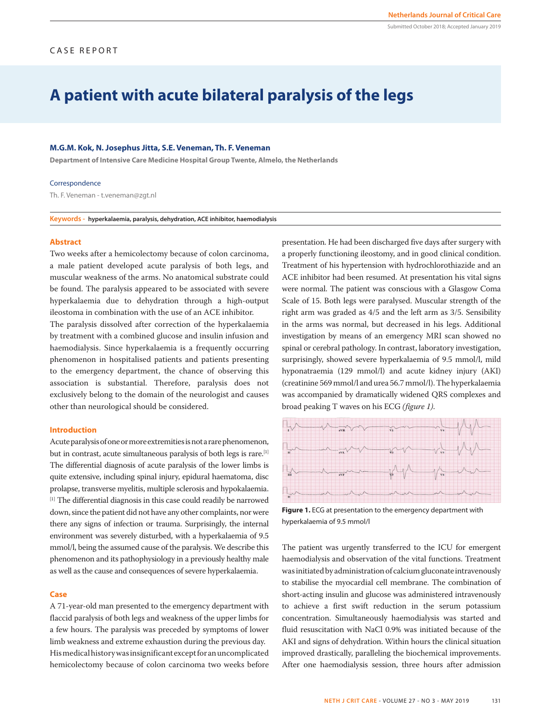# **A patient with acute bilateral paralysis of the legs**

## **M.G.M. Kok, N. Josephus Jitta, S.E. Veneman, Th. F. Veneman**

**Department of Intensive Care Medicine Hospital Group Twente, Almelo, the Netherlands**

#### Correspondence

Th. F. Veneman - t.veneman@zgt.nl

**Keywords - hyperkalaemia, paralysis, dehydration, ACE inhibitor, haemodialysis**

#### **Abstract**

Two weeks after a hemicolectomy because of colon carcinoma, a male patient developed acute paralysis of both legs, and muscular weakness of the arms. No anatomical substrate could be found. The paralysis appeared to be associated with severe hyperkalaemia due to dehydration through a high-output ileostoma in combination with the use of an ACE inhibitor.

The paralysis dissolved after correction of the hyperkalaemia by treatment with a combined glucose and insulin infusion and haemodialysis. Since hyperkalaemia is a frequently occurring phenomenon in hospitalised patients and patients presenting to the emergency department, the chance of observing this association is substantial. Therefore, paralysis does not exclusively belong to the domain of the neurologist and causes other than neurological should be considered.

#### **Introduction**

Acute paralysis of one or more extremities is not a rare phenomenon, but in contrast, acute simultaneous paralysis of both legs is rare.[1] The differential diagnosis of acute paralysis of the lower limbs is quite extensive, including spinal injury, epidural haematoma, disc prolapse, transverse myelitis, multiple sclerosis and hypokalaemia. [1] The differential diagnosis in this case could readily be narrowed down, since the patient did not have any other complaints, nor were there any signs of infection or trauma. Surprisingly, the internal environment was severely disturbed, with a hyperkalaemia of 9.5 mmol/l, being the assumed cause of the paralysis. We describe this phenomenon and its pathophysiology in a previously healthy male as well as the cause and consequences of severe hyperkalaemia.

#### **Case**

A 71-year-old man presented to the emergency department with flaccid paralysis of both legs and weakness of the upper limbs for a few hours. The paralysis was preceded by symptoms of lower limb weakness and extreme exhaustion during the previous day. His medical history was insignificant except for an uncomplicated hemicolectomy because of colon carcinoma two weeks before

presentation. He had been discharged five days after surgery with a properly functioning ileostomy, and in good clinical condition. Treatment of his hypertension with hydrochlorothiazide and an ACE inhibitor had been resumed. At presentation his vital signs were normal. The patient was conscious with a Glasgow Coma Scale of 15. Both legs were paralysed. Muscular strength of the right arm was graded as 4/5 and the left arm as 3/5. Sensibility in the arms was normal, but decreased in his legs. Additional investigation by means of an emergency MRI scan showed no spinal or cerebral pathology. In contrast, laboratory investigation, surprisingly, showed severe hyperkalaemia of 9.5 mmol/l, mild hyponatraemia (129 mmol/l) and acute kidney injury (AKI) (creatinine 569 mmol/l and urea 56.7 mmol/l). The hyperkalaemia was accompanied by dramatically widened QRS complexes and broad peaking T waves on his ECG *(figure 1)*.



**Figure 1.** ECG at presentation to the emergency department with hyperkalaemia of 9.5 mmol/l

The patient was urgently transferred to the ICU for emergent haemodialysis and observation of the vital functions. Treatment was initiated by administration of calcium gluconate intravenously to stabilise the myocardial cell membrane. The combination of short-acting insulin and glucose was administered intravenously to achieve a first swift reduction in the serum potassium concentration. Simultaneously haemodialysis was started and fluid resuscitation with NaCl 0.9% was initiated because of the AKI and signs of dehydration. Within hours the clinical situation improved drastically, paralleling the biochemical improvements. After one haemodialysis session, three hours after admission